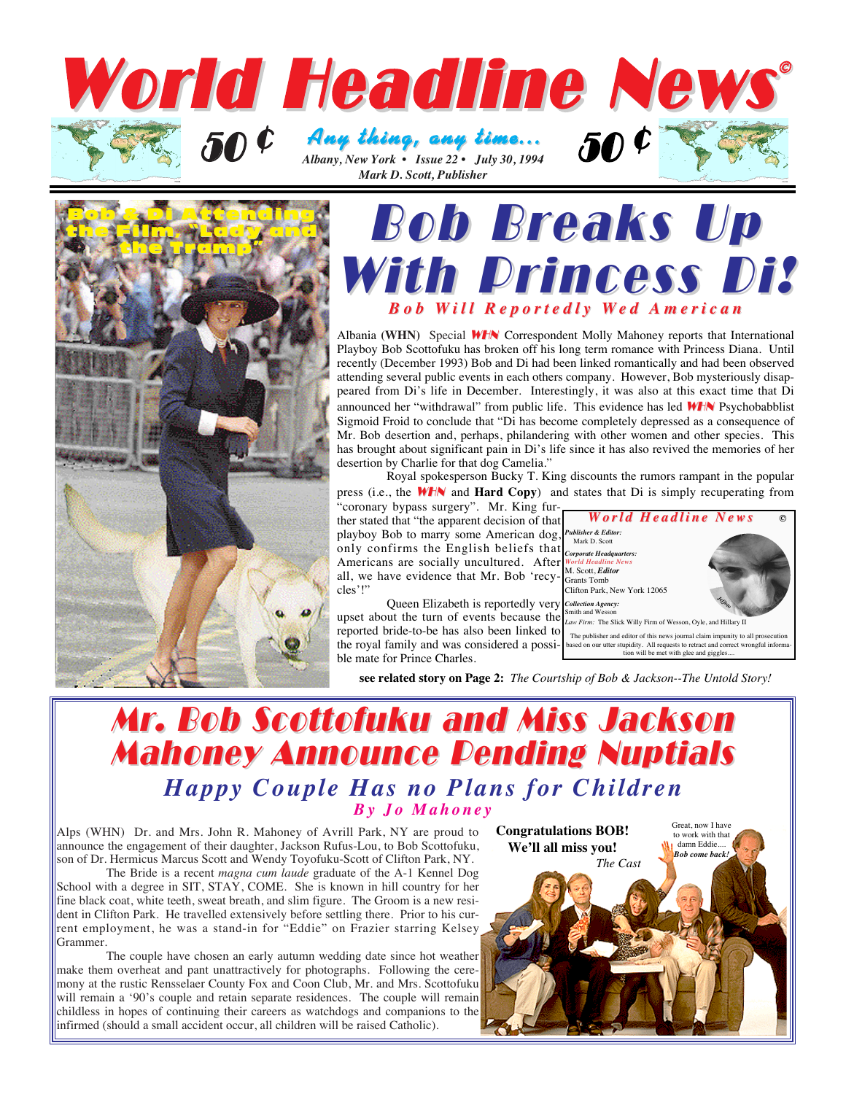



## **Bob Breaks Up** With Princess Di? *Bob W ill Reportedly Wed American ed American*

Albania **(WHN)** Special WHN Correspondent Molly Mahoney reports that International Playboy Bob Scottofuku has broken off his long term romance with Princess Diana. Until recently (December 1993) Bob and Di had been linked romantically and had been observed attending several public events in each others company. However, Bob mysteriously disappeared from Di's life in December. Interestingly, it was also at this exact time that Di announced her "withdrawal" from public life. This evidence has led **WHN** Psychobabblist Sigmoid Froid to conclude that "Di has become completely depressed as a consequence of Mr. Bob desertion and, perhaps, philandering with other women and other species. This has brought about significant pain in Di's life since it has also revived the memories of her desertion by Charlie for that dog Camelia."

Royal spokesperson Bucky T. King discounts the rumors rampant in the popular press (i.e., the WHN and **Hard Copy**) and states that Di is simply recuperating from

"coronary bypass surgery". Mr. King further stated that "the apparent decision of that playboy Bob to marry some American dog, Publisher & Editor.

only confirms the English beliefs that  $\int_{\text{Carnartle Head}}^{\text{Mark D. Scott}}$ Americans are socially uncultured. After *World Headquarters:*<br>
Americans are socially uncultured. After *World Headline News* all, we have evidence that Mr. Bob 'recy- $\Big|_{\text{Grants Tomb}}^{\text{ML social, Eau}}$ cles'!"

Queen Elizabeth is reportedly very *Collection Agency:* upset about the turn of events because the *Smith and Wesson*<br>*Law Firm:* The Slick Willy Firm of Wesson, Oyle, and Hillary II reported bride-to-be has also been linked to the royal family and was considered a possi-Clifton Park, New York 12065

The publisher and editor of this news journal claim impunity to all pro *Jeffoto*

**©**

based on our utter stupidity. All requests to retract and correct wrongful informa-tion will be met with glee and giggles....

*World Headline News World Headline NewsPublisher & Editor:*

**see related story on Page 2:** *The Courtship of Bob & Jackson--The Untold Story!*

### Mr. Bob Scottofuku and Miss Jackson Mr. Bob Scottofuku and Miss Jackson **Mahoney Announce Pending Nuptials** *Happy Couple Has no Plans for Children By Jo Mahoney*

ble mate for Prince Charles.

Alps (WHN) Dr. and Mrs. John R. Mahoney of Avrill Park, NY are proud to announce the engagement of their daughter, Jackson Rufus-Lou, to Bob Scottofuku, son of Dr. Hermicus Marcus Scott and Wendy Toyofuku-Scott of Clifton Park, NY.

The Bride is a recent *magna cum laude* graduate of the A-1 Kennel Dog School with a degree in SIT, STAY, COME. She is known in hill country for her fine black coat, white teeth, sweat breath, and slim figure. The Groom is a new resident in Clifton Park. He travelled extensively before settling there. Prior to his current employment, he was a stand-in for "Eddie" on Frazier starring Kelsey Grammer.

The couple have chosen an early autumn wedding date since hot weather make them overheat and pant unattractively for photographs. Following the ceremony at the rustic Rensselaer County Fox and Coon Club, Mr. and Mrs. Scottofuku will remain a '90's couple and retain separate residences. The couple will remain childless in hopes of continuing their careers as watchdogs and companions to the infirmed (should a small accident occur, all children will be raised Catholic).